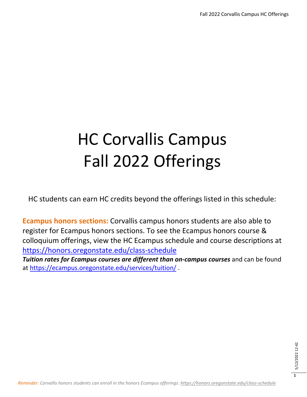# HC Corvallis Campus Fall 2022 Offerings

HC students can earn HC credits beyond the offerings listed in this schedule:

**Ecampus honors sections:** Corvallis campus honors students are also able to register for Ecampus honors sections. To see the Ecampus honors course & colloquium offerings, view the HC Ecampus schedule and course descriptions at <https://honors.oregonstate.edu/class-schedule>

*Tuition rates for Ecampus courses are different than on-campus courses* and can be found at<https://ecampus.oregonstate.edu/services/tuition/> .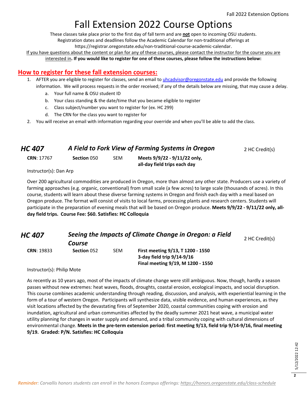### Fall Extension 2022 Course Options

These classes take place prior to the first day of fall term and are **not** open to incoming OSU students.

Registration dates and deadlines follow the Academic Calendar for non-traditional offerings at

https://registrar.oregonstate.edu/non-traditional-course-academic-calendar.

If you have questions about the content or plan for any of these courses, please contact the instructor for the course you are interested in**. If you would like to register for one of these courses, please follow the instructions below:**

#### **How to register for these fall extension courses:**

- 1. AFTER you are eligible to register for classes, send an email to *uhcadvisor@oregonstate.edu* and provide the following information. We will process requests in the order received; if any of the details below are missing, that may cause a delay.
	- a. Your full name & OSU student ID
	- b. Your class standing & the date/time that you became eligible to register
	- c. Class subject/number you want to register for (ex. HC 299)
	- d. The CRN for the class you want to register for
- 2. You will receive an email with information regarding your override and when you'll be able to add the class.

| HC 407 | A Field to Fork View of Farming Systems in Oregon | 2 HC Credit(s) |
|--------|---------------------------------------------------|----------------|
|--------|---------------------------------------------------|----------------|

| <b>CRN: 17767</b> | Section 050 | SE |
|-------------------|-------------|----|
|                   |             |    |

**CRN**: 17767 **Section** 050 SEM **Meets 9/9/22 - 9/11/22 only, all-day field trips each day**

Instructor(s): Dan Arp

Over 200 agricultural commodities are produced in Oregon, more than almost any other state. Producers use a variety of farming approaches (e.g. organic, conventional) from small scale (a few acres) to large scale (thousands of acres). In this course, students will learn about these diverse farming systems in Oregon and finish each day with a meal based on Oregon produce. The format will consist of visits to local farms, processing plants and research centers. Students will participate in the preparation of evening meals that will be based on Oregon produce. **Meets 9/9/22 - 9/11/22 only, allday field trips. Course Fee: \$60. Satisfies: HC Colloquia**

| HC 407                              | Seeing the Impacts of Climate Change in Oregon: a Field |            |                                                                                                      |                |  |
|-------------------------------------|---------------------------------------------------------|------------|------------------------------------------------------------------------------------------------------|----------------|--|
|                                     | Course                                                  |            |                                                                                                      | 2 HC Credit(s) |  |
| <b>CRN: 19833</b><br>$l_{\text{m}}$ | Section 052                                             | <b>SEM</b> | First meeting 9/13, T 1200 - 1550<br>3-day field trip 9/14-9/16<br>Final meeting 9/19, M 1200 - 1550 |                |  |

Instructor(s): Philip Mote

As recently as 10 years ago, most of the impacts of climate change were still ambiguous. Now, though, hardly a season passes without new extremes: heat waves, floods, droughts, coastal erosion, ecological impacts, and social disruption. This course combines academic understanding through reading, discussion, and analysis, with experiential learning in the form of a tour of western Oregon. Participants will synthesize data, visible evidence, and human experiences, as they visit locations affected by the devastating fires of September 2020, coastal communities coping with erosion and inundation, agricultural and urban communities affected by the deadly summer 2021 heat wave, a municipal water utility planning for changes in water supply and demand, and a tribal community coping with cultural dimensions of environmental change. **Meets in the pre-term extension period: first meeting 9/13, field trip 9/14-9/16, final meeting 9/19. Graded: P/N. Satisfies: HC Colloquia**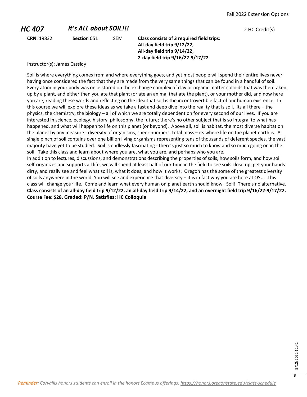#### *HC 407 It's ALL about SOIL!!!* 2 HC Credit(s) **CRN**: 19832 **Section** 051 SEM **Class consists of 3 required field trips: All-day field trip 9/12/22, All-day field trip 9/14/22, 2-day field trip 9/16/22-9/17/22**

Instructor(s): James Cassidy

Soil is where everything comes from and where everything goes, and yet most people will spend their entire lives never having once considered the fact that they are made from the very same things that can be found in a handful of soil. Every atom in your body was once stored on the exchange complex of clay or organic matter colloids that was then taken up by a plant, and either then you ate that plant (or ate an animal that ate the plant), or your mother did, and now here you are, reading these words and reflecting on the idea that soil is the incontrovertible fact of our human existence. In this course we will explore these ideas as we take a fast and deep dive into the reality that is soil. Its all there – the physics, the chemistry, the biology – all of which we are totally dependent on for every second of our lives. If you are interested in science, ecology, history, philosophy, the future; there's no other subject that is so integral to what has happened, and what will happen to life on this planet (or beyond). Above all, soil is habitat, the most diverse habitat on the planet by any measure - diversity of organisms, sheer numbers, total mass – its where life on the planet earth is. A single pinch of soil contains over one billion living organisms representing tens of thousands of deferent species, the vast majority have yet to be studied. Soil is endlessly fascinating - there's just so much to know and so much going on in the soil. Take this class and learn about where you are, what you are, and perhaps who you are.

In addition to lectures, discussions, and demonstrations describing the properties of soils, how soils form, and how soil self-organizes and supports all life, we will spend at least half of our time in the field to see soils close-up, get your hands dirty, and really see and feel what soil is, what it does, and how it works. Oregon has the some of the greatest diversity of soils anywhere in the world. You will see and experience that diversity – it is in fact why you are here at OSU. This class will change your life. Come and learn what every human on planet earth should know. Soil! There's no alternative. **Class consists of an all-day field trip 9/12/22, an all-day field trip 9/14/22, and an overnight field trip 9/16/22-9/17/22. Course Fee: \$28. Graded: P/N. Satisfies: HC Colloquia**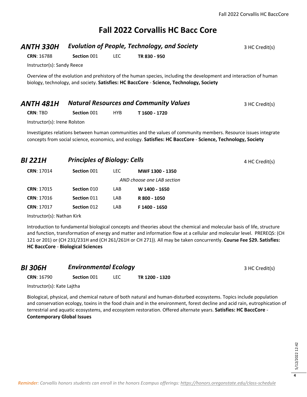#### **Fall 2022 Corvallis HC Bacc Core**

#### **ANTH 330H** *Evolution of People, Technology, and Society* **3 HC Credit(s)**

**CRN**: 16788 **Section** 001 LEC **TR 830 - 950**

Instructor(s): Sandy Reece

Overview of the evolution and prehistory of the human species, including the development and interaction of human biology, technology, and society. **Satisfies: HC BaccCore** - **Science, Technology, Society**

| <b>ANTH 481H</b>             |             |      | <b>Natural Resources and Community Values</b> | 3 HC Credit(s) |
|------------------------------|-------------|------|-----------------------------------------------|----------------|
| <b>CRN: TBD</b>              | Section 001 | HYB. | T 1600 - 1720                                 |                |
| Instructor(s): Irene Rolston |             |      |                                               |                |

Investigates relations between human communities and the values of community members. Resource issues integrate concepts from social science, economics, and ecology. **Satisfies: HC BaccCore** - **Science, Technology, Society**

| <b>BI 221H</b>    | <b>Principles of Biology: Cells</b> |            |                            | 4 HC Credit(s) |
|-------------------|-------------------------------------|------------|----------------------------|----------------|
| <b>CRN: 17014</b> | Section 001                         | <b>LEC</b> | MWF 1300 - 1350            |                |
|                   |                                     |            | AND choose one LAB section |                |
| <b>CRN: 17015</b> | Section 010                         | LAB        | W 1400 - 1650              |                |
| <b>CRN: 17016</b> | Section 011                         | LAB        | R 800 - 1050               |                |
| <b>CRN: 17017</b> | Section 012                         | LAB        | F 1400 - 1650              |                |
|                   |                                     |            |                            |                |

Instructor(s): Nathan Kirk

Introduction to fundamental biological concepts and theories about the chemical and molecular basis of life, structure and function, transformation of energy and matter and information flow at a cellular and molecular level. PREREQS: (CH 121 or 201) or (CH 231/231H and (CH 261/261H or CH 271)). All may be taken concurrently. **Course Fee \$29. Satisfies: HC BaccCore** - **Biological Sciences**

*BI 306H* **Environmental Ecology Example 2 A** *BI* **3 HC Credit(s)** 

**CRN**: 16790 **Section** 001 LEC **TR 1200 - 1320**

Instructor(s): Kate Lajtha

Biological, physical, and chemical nature of both natural and human-disturbed ecosystems. Topics include population and conservation ecology, toxins in the food chain and in the environment, forest decline and acid rain, eutrophication of terrestrial and aquatic ecosystems, and ecosystem restoration. Offered alternate years. **Satisfies: HC BaccCore** - **Contemporary Global Issues**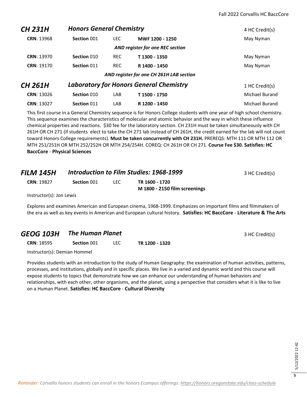| CH 231H           | <b>Honors General Chemistry</b> |            |                                                | 4 HC Credit(s) |
|-------------------|---------------------------------|------------|------------------------------------------------|----------------|
| <b>CRN: 13968</b> | Section 001                     | LEC.       | MWF 1200 - 1250                                | May Nyman      |
|                   |                                 |            | AND register for one REC section               |                |
| <b>CRN: 13970</b> | Section 010                     | <b>REC</b> | T 1300 - 1350                                  | May Nyman      |
| CRN: 19170        | Section 011                     | <b>REC</b> | R 1400 - 1450                                  | May Nyman      |
|                   |                                 |            | AND register for one CH 261H LAB section       |                |
| CH 261H           |                                 |            | <b>Laboratory for Honors General Chemistry</b> | 1 HC Credit(s) |
| CRN: 13026        | Section 010                     | LAB        | T 1500 - 1750                                  | Michael Burand |
| <b>CRN: 13027</b> | Section 011                     | LAB        | R 1200 - 1450                                  | Michael Burand |

This first course in a General Chemistry sequence is for Honors College students with one year of high school chemistry. This sequence examines the characteristics of molecular and atomic behavior and the way in which these influence chemical properties and reactions. \$30 fee for the laboratory section. CH 231H must be taken simultaneously with CH 261H OR CH 271 (if students elect to take the CH 271 lab instead of CH 261H, the credit earned for the lab will not count toward Honors College requirements). **Must be taken concurrently with CH 231H.** PREREQS: MTH 111 OR MTH 112 OR MTH 251/251H OR MTH 252/252H OR MTH 254/254H. COREQ: CH 261H OR CH 271. **Course Fee \$30. Satisfies: HC BaccCore** - **Physical Sciences**

| <b>FILM 145H</b>         |             |      | Introduction to Film Studies: 1968-1999         | 3 HC Credit(s) |
|--------------------------|-------------|------|-------------------------------------------------|----------------|
| <b>CRN: 19827</b>        | Section 001 | LEC. | TR 1600 - 1720<br>M 1800 - 2150 film screenings |                |
| Instructor(s): Jon Lewis |             |      |                                                 |                |

Explores and examines American and European cinema, 1968-1999. Emphasizes on important films and filmmakers of the era as well as key events in American and European cultural history. **Satisfies: HC BaccCore** - **Literature & The Arts**

#### **GEOG 103H • The Human Planet 3 HC Credit(s)** 3 HC Credit(s)

**CRN**: 18595 **Section** 001 LEC **TR 1200 - 1320**

Instructor(s): Demian Hommel

Provides students with an introduction to the study of Human Geography: the examination of human activities, patterns, processes, and institutions, globally and in specific places. We live in a varied and dynamic world and this course will expose students to topics that demonstrate how we can enhance our understanding of human behaviors and relationships, with each other, other organisms, and the planet, using a perspective that considers what it is like to live on a Human Planet. **Satisfies: HC BaccCore** - **Cultural Diversity**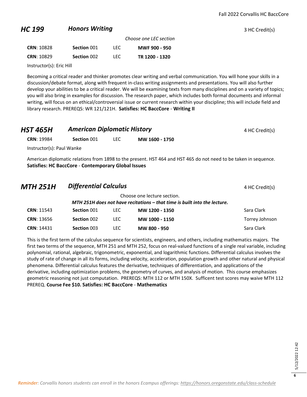#### **HC 199 Honors Writing** *HC* **199 3 HC Credit(s)**

|                   |             |      | Choose one LEC section |
|-------------------|-------------|------|------------------------|
| <b>CRN: 10828</b> | Section 001 | TEC. | MWF 900 - 950          |
| <b>CRN: 10829</b> | Section 002 | TEC. | TR 1200 - 1320         |

Instructor(s): Eric Hill

Becoming a critical reader and thinker promotes clear writing and verbal communication. You will hone your skills in a discussion/debate format, along with frequent in-class writing assignments and presentations. You will also further develop your abilities to be a critical reader. We will be examining texts from many disciplines and on a variety of topics; you will also bring in examples for discussion. The research paper, which includes both formal documents and informal writing, will focus on an ethical/controversial issue or current research within your discipline; this will include field and library research. PREREQS: WR 121/121H. **Satisfies: HC BaccCore** - **Writing II**

| <b>HST 465H</b>           | <b>American Diplomatic History</b> |            |                | 4 HC Credit(s) |
|---------------------------|------------------------------------|------------|----------------|----------------|
| <b>CRN: 19984</b>         | Section 001                        | <b>LEC</b> | MW 1600 - 1750 |                |
| Instructor(s): Paul Wanke |                                    |            |                |                |

American diplomatic relations from 1898 to the present. HST 464 and HST 465 do not need to be taken in sequence. **Satisfies: HC BaccCore** - **Contemporary Global Issues**

| MTH 251H          | <b>Differential Calculus</b> |      |                                                                                                          | 4 HC Credit(s) |
|-------------------|------------------------------|------|----------------------------------------------------------------------------------------------------------|----------------|
|                   |                              |      | Choose one lecture section.<br>MTH 251H does not have recitations - that time is built into the lecture. |                |
| <b>CRN: 11543</b> | Section 001                  | LEC. | MW 1200 - 1350                                                                                           | Sara Clark     |
| <b>CRN: 13656</b> | Section 002                  | LEC. | MW 1000 - 1150                                                                                           | Torrey Johnson |
| <b>CRN: 14431</b> | Section 003                  | LEC. | MW 800 - 950                                                                                             | Sara Clark     |

This is the first term of the calculus sequence for scientists, engineers, and others, including mathematics majors. The first two terms of the sequence, MTH 251 and MTH 252, focus on real-valued functions of a single real variable, including polynomial, rational, algebraic, trigonometric, exponential, and logarithmic functions. Differential calculus involves the study of rate of change in all its forms, including velocity, acceleration, population growth and other natural and physical phenomena. Differential calculus features the derivative, techniques of differentiation, and applications of the derivative, including optimization problems, the geometry of curves, and analysis of motion. This course emphasizes geometric reasoning not just computation. PREREQS: MTH 112 or MTH 150X. Sufficent test scores may waive MTH 112 PREREQ. **Course Fee \$10. Satisfies: HC BaccCore** - **Mathematics**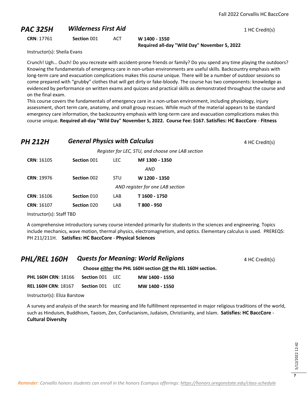#### **PAC 325H Wilderness First Aid** 1 HC Credit(s)

**CRN**: 17761 **Section** 001 ACT **W 1400 - 1550**

**Required all-day "Wild Day" November 5, 2022**

Instructor(s): Sheila Evans

Crunch! Ugh… Ouch! Do you recreate with accident-prone friends or family? Do you spend any time playing the outdoors? Knowing the fundamentals of emergency care in non-urban environments are useful skills. Backcountry emphasis with long-term care and evacuation complications makes this course unique. There will be a number of outdoor sessions so come prepared with "grubby" clothes that will get dirty or fake-bloody. The course has two components: knowledge as evidenced by performance on written exams and quizzes and practical skills as demonstrated throughout the course and on the final exam.

This course covers the fundamentals of emergency care in a non-urban environment, including physiology, injury assessment, short term care, anatomy, and small group rescues. While much of the material appears to be standard emergency care information, the backcountry emphasis with long-term care and evacuation complications makes this course unique. **Required all-day "Wild Day" November 5, 2022. Course Fee: \$167. Satisfies: HC BaccCore** - **Fitness**

## **PH 212H General Physics with Calculus A HC Credit(s)** 4 HC Credit(s)

*Register for LEC, STU, and choose one LAB section*

| <b>CRN: 16105</b> | Section 001 | LEC | MF 1300 - 1350                   |
|-------------------|-------------|-----|----------------------------------|
|                   |             |     | AND                              |
| <b>CRN: 19976</b> | Section 002 | STU | W 1200 - 1350                    |
|                   |             |     | AND register for one LAB section |
| <b>CRN: 16106</b> | Section 010 | LAB | T 1600 - 1750                    |
| <b>CRN: 16107</b> | Section 020 | LAB | T 800 - 950                      |

Instructor(s): Staff TBD

A comprehensive introductory survey course intended primarily for students in the sciences and engineering. Topics include mechanics, wave motion, thermal physics, electromagnetism, and optics. Elementary calculus is used. PREREQS: PH 211/211H. **Satisfies: HC BaccCore** - **Physical Sciences**

#### **PHL/REL 160H Quests for Meaning: World Religions** 4 HC Credit(s) **Choose** *either* **the PHL 160H section** *OR* **the REL 160H section. PHL 160H CRN**: 18166 **Section** 001 LEC **MW 1400 - 1550 REL 160H CRN**: 18167 **Section** 001 LEC **MW 1400 - 1550**

Instructor(s): Eliza Barstow

A survey and analysis of the search for meaning and life fulfillment represented in major religious traditions of the world, such as Hinduism, Buddhism, Taoism, Zen, Confucianism, Judaism, Christianity, and Islam. **Satisfies: HC BaccCore** - **Cultural Diversity**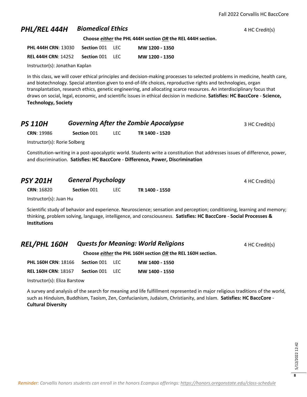#### **PHL/REL 444H Biomedical Ethics 4 HC Credit(s) 4 HC Credit(s)**

**Choose** *either* **the PHL 444H section** *OR* **the REL 444H section.**

| <b>PHL 444H CRN: 13030</b> | Section 001        | -LEC.  | MW 1200 - 1350 |
|----------------------------|--------------------|--------|----------------|
| <b>REL 444H CRN: 14252</b> | <b>Section 001</b> | - LEC. | MW 1200 - 1350 |

Instructor(s): Jonathan Kaplan

In this class, we will cover ethical principles and decision-making processes to selected problems in medicine, health care, and biotechnology. Special attention given to end-of-life choices, reproductive rights and technologies, organ transplantation, research ethics, genetic engineering, and allocating scarce resources. An interdisciplinary focus that draws on social, legal, economic, and scientific issues in ethical decision in medicine. **Satisfies: HC BaccCore** - **Science, Technology, Society**

| <b>PS 110H</b>               | <b>Governing After the Zombie Apocalypse</b> | 3 HC Credit(s) |                |  |
|------------------------------|----------------------------------------------|----------------|----------------|--|
| <b>CRN: 19986</b>            | Section 001                                  | <b>LEC</b>     | TR 1400 - 1520 |  |
| Instructor(s): Rorie Solberg |                                              |                |                |  |

Constitution-writing in a post-apocalyptic world. Students write a constitution that addresses issues of difference, power, and discrimination. **Satisfies: HC BaccCore** - **Difference, Power, Discrimination**

| <b>PSY 201H</b>        | <b>General Psychology</b> |            |                | 4 HC Credit(s) |
|------------------------|---------------------------|------------|----------------|----------------|
| <b>CRN: 16820</b>      | Section 001               | <b>LEC</b> | TR 1400 - 1550 |                |
| Instructor(s): Juan Hu |                           |            |                |                |

Scientific study of behavior and experience. Neuroscience; sensation and perception; conditioning, learning and memory; thinking, problem solving, language, intelligence, and consciousness. **Satisfies: HC BaccCore** - **Social Processes & Institutions**

| <b>REL/PHL 160H</b>        | <b>Quests for Meaning: World Religions</b>                  |  |                | 4 HC Credit(s) |  |  |
|----------------------------|-------------------------------------------------------------|--|----------------|----------------|--|--|
|                            | Choose either the PHL 160H section OR the REL 160H section. |  |                |                |  |  |
| <b>PHL 160H CRN: 18166</b> | <b>Section 001 LEC</b>                                      |  | MW 1400 - 1550 |                |  |  |
|                            |                                                             |  |                |                |  |  |

**REL 160H CRN**: 18167 **Section** 001 LEC **MW 1400 - 1550**

Instructor(s): Eliza Barstow

A survey and analysis of the search for meaning and life fulfillment represented in major religious traditions of the world, such as Hinduism, Buddhism, Taoism, Zen, Confucianism, Judaism, Christianity, and Islam. **Satisfies: HC BaccCore** - **Cultural Diversity**

> 5/12/2022 12:42 5/12/2022 12:42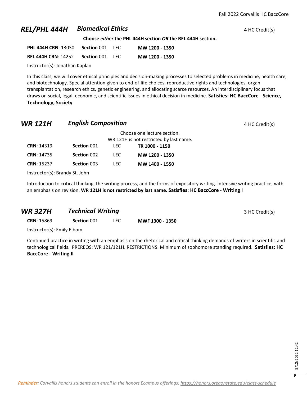#### **REL/PHL 444H Biomedical Ethics ALL 2008 1 AMEL/PHL 444H Biomedical Ethics 4 HC Credit(s)**

**Choose** *either* **the PHL 444H section** *OR* **the REL 444H section.**

| <b>PHL 444H CRN: 13030</b> | Section 001            | <b>IFC</b> | MW 1200 - 1350 |
|----------------------------|------------------------|------------|----------------|
| <b>REL 444H CRN: 14252</b> | <b>Section 001 LEC</b> |            | MW 1200 - 1350 |

Instructor(s): Jonathan Kaplan

In this class, we will cover ethical principles and decision-making processes to selected problems in medicine, health care, and biotechnology. Special attention given to end-of-life choices, reproductive rights and technologies, organ transplantation, research ethics, genetic engineering, and allocating scarce resources. An interdisciplinary focus that draws on social, legal, economic, and scientific issues in ethical decision in medicine. **Satisfies: HC BaccCore** - **Science, Technology, Society**

#### **WR 121H English Composition English Composition 14 HC Credit(s)**

|                   |             | Choose one lecture section.             |                |  |  |
|-------------------|-------------|-----------------------------------------|----------------|--|--|
|                   |             | WR 121H is not restricted by last name. |                |  |  |
| <b>CRN: 14319</b> | Section 001 | LEC.                                    | TR 1000 - 1150 |  |  |
| <b>CRN: 14735</b> | Section 002 | LEC.                                    | MW 1200 - 1350 |  |  |
| <b>CRN: 15237</b> | Section 003 | LEC.                                    | MW 1400 - 1550 |  |  |
|                   |             |                                         |                |  |  |

Instructor(s): Brandy St. John

Introduction to critical thinking, the writing process, and the forms of expository writing. Intensive writing practice, with an emphasis on revision. **WR 121H is not restricted by last name. Satisfies: HC BaccCore** - **Writing I**

#### *WR 327H Technical Writing* **3 HC Credit(s)** 3 HC Credit(s)

**CRN**: 15869 **Section** 001 LEC **MWF 1300 - 1350**

Instructor(s): Emily Elbom

Continued practice in writing with an emphasis on the rhetorical and critical thinking demands of writers in scientific and technological fields. PREREQS: WR 121/121H. RESTRICTIONS: Minimum of sophomore standing required. **Satisfies: HC BaccCore** - **Writing II**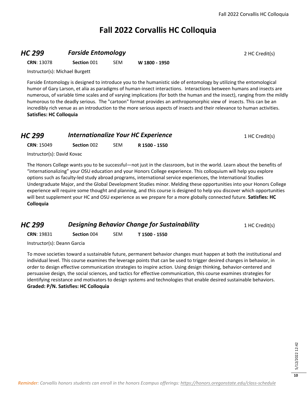### **Fall 2022 Corvallis HC Colloquia**

#### **HC 299 Farside Entomology Properties All 2 HC Credit(s)**

**CRN**: 13078 **Section** 001 SEM **W 1800 - 1950**

Instructor(s): Michael Burgett

Farside Entomology is designed to introduce you to the humanistic side of entomology by utilizing the entomological humor of Gary Larson, et alia as paradigms of human-insect interactions. Interactions between humans and insects are numerous, of variable time scales and of varying implications (for both the human and the insect), ranging from the mildly humorous to the deadly serious. The "cartoon" format provides an anthropomorphic view of insects. This can be an incredibly rich venue as an introduction to the more serious aspects of insects and their relevance to human activities. **Satisfies: HC Colloquia**

#### **HC 299** *Internationalize Your HC Experience* 1 HC Credit(s)

**CRN**: 15049 **Section** 002 SEM **R 1500 - 1550**

Instructor(s): David Kovac

The Honors College wants you to be successful—not just in the classroom, but in the world. Learn about the benefits of "internationalizing" your OSU education and your Honors College experience. This colloquium will help you explore options such as faculty-led study abroad programs, international service experiences, the International Studies Undergraduate Major, and the Global Development Studies minor. Melding these opportunities into your Honors College experience will require some thought and planning, and this course is designed to help you discover which opportunities will best supplement your HC and OSU experience as we prepare for a more globally connected future. **Satisfies: HC Colloquia**

*HC 299* **Designing Behavior Change for Sustainability** 1 HC Credit(s)

**CRN**: 19831 **Section** 004 SEM **T 1500 - 1550**

Instructor(s): Deann Garcia

To move societies toward a sustainable future, permanent behavior changes must happen at both the institutional and individual level. This course examines the leverage points that can be used to trigger desired changes in behavior, in order to design effective communication strategies to inspire action. Using design thinking, behavior-centered and persuasive design, the social sciences, and tactics for effective communication, this course examines strategies for identifying resistance and motivators to design systems and technologies that enable desired sustainable behaviors. **Graded: P/N. Satisfies: HC Colloquia**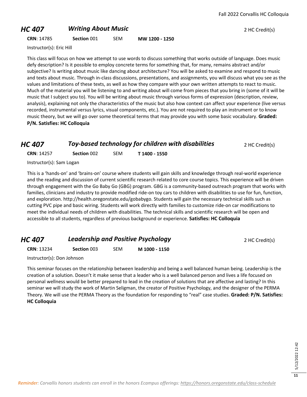#### **HC 407 Writing About Music** *COMPONER AND <b>PHC 407 Writing About Music* **<b>2 HC** Credit(s)

**CRN**: 14785 **Section** 001 SEM **MW 1200 - 1250**

Instructor(s): Eric Hill

This class will focus on how we attempt to use words to discuss something that works outside of language. Does music defy description? Is it possible to employ concrete terms for something that, for many, remains abstract and/or subjective? Is writing about music like dancing about architecture? You will be asked to examine and respond to music and texts about music. Through in-class discussions, presentations, and assignments, you will discuss what you see as the values and limitations of these texts, as well as how they compare with your own written attempts to react to music. Much of the material you will be listening to and writing about will come from pieces that you bring in (some of it will be music that I subject you to). You will be writing about music through various forms of expression (description, review, analysis), explaining not only the characteristics of the music but also how context can affect your experience (live versus recorded, instrumental versus lyrics, visual components, etc.). You are not required to play an instrument or to know music theory, but we will go over some theoretical terms that may provide you with some basic vocabulary. **Graded: P/N. Satisfies: HC Colloquia**

#### *HC 407 Toy-based technology for children with disabilities* **2 HC Credit(s)**

| <b>CRN: 14257</b><br>Section 002 | <b>SEM</b> | T 1400 - 1550 |
|----------------------------------|------------|---------------|
|----------------------------------|------------|---------------|

Instructor(s): Sam Logan

This is a 'hands-on' and 'brains-on' course where students will gain skills and knowledge through real-world experience and the reading and discussion of current scientific research related to core course topics. This experience will be driven through engagement with the Go Baby Go (GBG) program. GBG is a community-based outreach program that works with families, clinicians and industry to provide modified ride-on toy cars to children with disabilities to use for fun, function, and exploration. http://health.oregonstate.edu/gobabygo. Students will gain the necessary technical skills such as cutting PVC pipe and basic wiring. Students will work directly with families to customize ride-on car modifications to meet the individual needs of children with disabilities. The technical skills and scientific research will be open and accessible to all students, regardless of previous background or experience. **Satisfies: HC Colloquia**

#### *HC 407* **Leadership and Positive Psychology 2 HC Credit(s)**

**CRN**: 13234 **Section** 003 SEM **M 1000 - 1150**

Instructor(s): Don Johnson

This seminar focuses on the relationship between leadership and being a well balanced human being. Leadership is the creation of a solution. Doesn't it make sense that a leader who is a well balanced person and lives a life focused on personal wellness would be better prepared to lead in the creation of solutions that are affective and lasting? In this seminar we will study the work of Martin Seligman, the creator of Positive Psychology, and the designer of the PERMA Theory. We will use the PERMA Theory as the foundation for responding to "real" case studies. **Graded: P/N. Satisfies: HC Colloquia**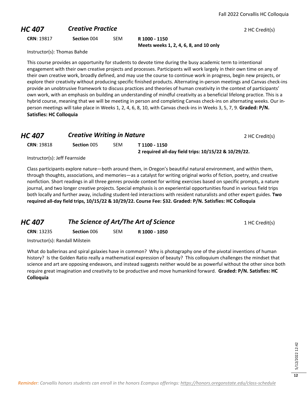#### **HC 407 Creative Practice Creative Practice** 2 HC Credit(s)

**CRN**: 19817 **Section** 004 SEM **R 1000 - 1150**

**Meets weeks 1, 2, 4, 6, 8, and 10 only**

Instructor(s): Thomas Bahde

This course provides an opportunity for students to devote time during the busy academic term to intentional engagement with their own creative projects and processes. Participants will work largely in their own time on any of their own creative work, broadly defined, and may use the course to continue work in progress, begin new projects, or explore their creativity without producing specific finished products. Alternating in-person meetings and Canvas check-ins provide an unobtrusive framework to discuss practices and theories of human creativity in the context of participants' own work, with an emphasis on building an understanding of mindful creativity as a beneficial lifelong practice. This is a hybrid course, meaning that we will be meeting in person and completing Canvas check-ins on alternating weeks. Our inperson meetings will take place in Weeks 1, 2, 4, 6, 8, 10, with Canvas check-ins in Weeks 3, 5, 7, 9. **Graded: P/N. Satisfies: HC Colloquia**

| HC 407            | <b>Creative Writing in Nature</b> |            |                                                      | 2 HC Credit(s) |
|-------------------|-----------------------------------|------------|------------------------------------------------------|----------------|
| <b>CRN: 19818</b> | <b>Section</b> 005                | <b>SEM</b> | T 1100 - 1150                                        |                |
|                   |                                   |            | 2 required all-day field trips: 10/15/22 & 10/29/22. |                |

Instructor(s): Jeff Fearnside

Class participants explore nature—both around them, in Oregon's beautiful natural environment, and within them, through thoughts, associations, and memories—as a catalyst for writing original works of fiction, poetry, and creative nonfiction. Short readings in all three genres provide context for writing exercises based on specific prompts, a nature journal, and two longer creative projects. Special emphasis is on experiential opportunities found in various field trips both locally and further away, including student-led interactions with resident naturalists and other expert guides. **Two required all-day field trips, 10/15/22 & 10/29/22. Course Fee: \$32. Graded: P/N. Satisfies: HC Colloquia**

*HC 407* **The Science of Art/The Art of Science** 1 HC Credit(s) **CRN**: 13235 **Section** 006 SEM **R 1000 - 1050**

Instructor(s): Randall Milstein

What do ballerinas and spiral galaxies have in common? Why is photography one of the pivotal inventions of human history? Is the Golden Ratio really a mathematical expression of beauty? This colloquium challenges the mindset that science and art are opposing endeavors, and instead suggests neither would be as powerful without the other since both require great imagination and creativity to be productive and move humankind forward. **Graded: P/N. Satisfies: HC Colloquia**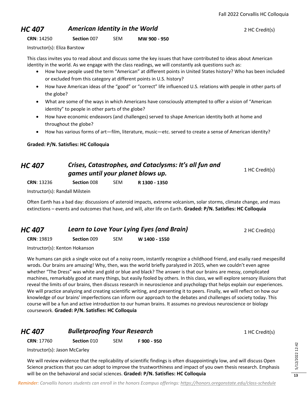#### **HC 407 American Identity in the World Property 2 AC Credit(s)**

#### **CRN**: 14250 **Section** 007 SEM **MW 900 - 950**

Instructor(s): Eliza Barstow

This class invites you to read about and discuss some the key issues that have contributed to ideas about American identity in the world. As we engage with the class readings, we will constantly ask questions such as:

- How have people used the term "American" at different points in United States history? Who has been included or excluded from this category at different points in U.S. history?
- How have American ideas of the "good" or "correct" life influenced U.S. relations with people in other parts of the globe?
- What are some of the ways in which Americans have consciously attempted to offer a vision of "American identity" to people in other parts of the globe?
- How have economic endeavors (and challenges) served to shape American identity both at home and throughout the globe?
- How has various forms of art—film, literature, music—etc. served to create a sense of American identity?

**Graded: P/N. Satisfies: HC Colloquia**

#### *HC 407 Crises, Catastrophes, and Cataclysms: It's all fun and games until your planet blows up.* 1 HC Credit(s)

**CRN**: 13236 **Section** 008 SEM **R 1300 - 1350**

Instructor(s): Randall Milstein

Often Earth has a bad day: discussions of asteroid impacts, extreme volcanism, solar storms, climate change, and mass extinctions – events and outcomes that have, and will, alter life on Earth. **Graded: P/N. Satisfies: HC Colloquia**

| <b>HC 407</b>     | Learn to Love Your Lying Eyes (and Brain) |            |               | 2 HC Credit(s) |
|-------------------|-------------------------------------------|------------|---------------|----------------|
| <b>CRN: 19819</b> | Section 009                               | <b>SEM</b> | W 1400 - 1550 |                |

Instructor(s): Kenton Hokanson

We humans can pick a single voice out of a noisy room, instantly recognize a childhood friend, and esaliy raed mespesilld wrods. Our brains are amazing! Why, then, was the world briefly paralyzed in 2015, when we couldn't even agree whether "The Dress" was white and gold or blue and black? The answer is that our brains are messy, complicated machines, remarkably good at many things, but easily fooled by others. In this class, we will explore sensory illusions that reveal the limits of our brains, then discuss research in neuroscience and psychology that helps explain our experiences. We will practice analyzing and creating scientific writing, and presenting it to peers. Finally, we will reflect on how our knowledge of our brains' imperfections can inform our approach to the debates and challenges of society today. This course will be a fun and active introduction to our human brains. It assumes no previous neuroscience or biology coursework. **Graded: P/N. Satisfies: HC Colloquia**

#### **HC 407 Bulletproofing Your Research** 1 HC Credit(s)

**CRN**: 17760 **Section** 010 SEM **F 900 - 950**

Instructor(s): Jason McCarley

We will review evidence that the replicability of scientific findings is often disappointingly low, and will discuss Open Science practices that you can adopt to improve the trustworthiness and impact of you own thesis research. Emphasis will be on the behavioral and social sciences. **Graded: P/N. Satisfies: HC Colloquia**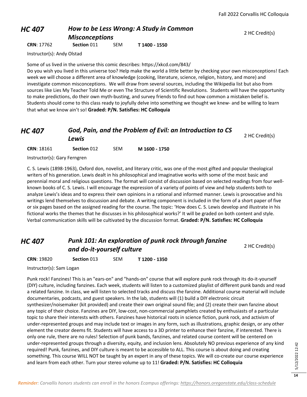#### *HC 407 How to be Less Wrong: A Study in Common Misconceptions*

**CRN**: 17762 **Section** 011 SEM **T 1400 - 1550**

Instructor(s): Andy Olstad

Some of us lived in the universe this comic describes: https://xkcd.com/843/

Do you wish you lived in this universe too? Help make the world a little better by checking your own misconceptions! Each week we will choose a different area of knowledge (cooking, literature, science, religion, history, and more) and investigate common misconceptions. We will draw from several sources, including the Wikipedia list but also from sources like Lies My Teacher Told Me or even The Structure of Scientific Revolutions. Students will have the opportunity to make predictions, do their own myth-busting, and survey friends to find out how common a mistaken belief is.  Students should come to this class ready to joyfully delve into something we thought we knew- and be willing to learn that what we know ain't so! **Graded: P/N. Satisfies: HC Colloquia**

### *HC 407 God, Pain, and the Problem of Evil: an Introduction to CS Lewis* <sup>2</sup> HC Credit(s)

**CRN**: 18161 **Section** 012 SEM **M 1600 - 1750**

Instructor(s): Gary Ferngren

C. S. Lewis (1898-1963), Oxford don, novelist, and literary critic, was one of the most gifted and popular theological writers of his generation. Lewis dealt in his philosophical and imaginative works with some of the most basic and perennial moral and religious questions. The format will consist of discussion based on selected readings from four wellknown books of C. S. Lewis. I will encourage the expression of a variety of points of view and help students both to analyze Lewis's ideas and to express their own opinions in a rational and informed manner. Lewis is provocative and his writings lend themselves to discussion and debate. A writing component is included in the form of a short paper of five or six pages based on the assigned reading for the course. The topic: 'How does C. S. Lewis develop and illustrate in his fictional works the themes that he discusses in his philosophical works?' It will be graded on both content and style. Verbal communication skills will be cultivated by the discussion format. **Graded: P/N. Satisfies: HC Colloquia**

#### *HC 407 Punk 101: An exploration of punk rock through fanzine*  **and do-it-yourself culture** 2 **1** 2 HC Credit(s)

**CRN**: 19820 **Section** 013 SEM **T 1200 - 1350**

Instructor(s): Sam Logan

Punk rock! Fanzines! This is an "ears-on" and "hands-on" course that will explore punk rock through its do-it-yourself (DIY) culture, including fanzines. Each week, students will listen to a customized playlist of different punk bands and read a related fanzine. In class, we will listen to selected tracks and discuss the fanzine. Additional course material will include documentaries, podcasts, and guest speakers. In the lab, students will (1) build a DIY electronic circuit synthesizer/noisemaker (kit provided) and create their own original sound file; and (2) create their own fanzine about any topic of their choice. Fanzines are DIY, low-cost, non-commercial pamphlets created by enthusiasts of a particular topic to share their interests with others. Fanzines have historical roots in science fiction, punk rock, and activism of under-represented groups and may include text or images in any form, such as illustrations, graphic design, or any other element the creator deems fit. Students will have access to a 3D printer to enhance their fanzine, if interested. There is only one rule, there are no rules! Selection of punk bands, fanzines, and related course content will be centered on under-represented groups through a diversity, equity, and inclusion lens. Absolutely NO previous experience of any kind required! Punk, fanzines, and DIY culture is meant to be accessible to ALL. This course is about doing and creating something. This course WILL NOT be taught by an expert in any of these topics. We will co-create our course experience and learn from each other. Turn your stereo volume up to 11! **Graded: P/N. Satisfies: HC Colloquia**

2 HC Credit(s)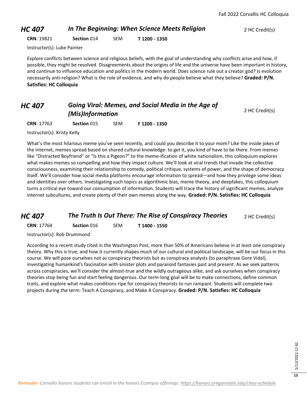#### *HC 407* **In The Beginning: When Science Meets Religion** 2 HC Credit(s)

**CRN**: 19821 **Section** 014 SEM **T 1200 - 1350**

Instructor(s): Luke Painter

Explore conflicts between science and religious beliefs, with the goal of understanding why conflicts arise and how, if possible, they might be resolved. Disagreements about the origins of life and the universe have been important in history, and continue to influence education and politics in the modern world. Does science rule out a creator god? Is evolution necessarily anti-religion? What is the role of evidence, and why do people believe what they believe? **Graded: P/N. Satisfies: HC Colloquia**

#### *HC 407 Going Viral: Memes, and Social Media in the Age of (Mis)Information* 2 HC Credit(s)

**CRN**: 17763 **Section** 015 SEM **F 1200 - 1350**

Instructor(s): Kristy Kelly

What's the most hilarious meme you've seen recently, and could you describe it to your mom? Like the inside jokes of the internet, memes spread based on shared cultural knowledge: to get it, you kind of have to be there. From memes like "Distracted Boyfriend" or "Is this a Pigeon?" to the meme-ification of white nationalism, this colloquium explores what makes memes so compelling and how they impact culture. We'll look at viral trends that invade the collective consciousness, examining their relationship to comedy, political critique, systems of power, and the shape of democracy itself. We'll consider how social media platforms encourage information to spread—and how they privilege some ideas and identities over others. Investigating such topics as algorithmic bias, meme theory, and deepfakes, this colloquium turns a critical eye toward our consumption of information. Students will trace the history of significant memes, analyze internet subcultures, and create plenty of their own memes along the way. **Graded: P/N. Satisfies: HC Colloquia**

#### *HC 407* **The Truth Is Out There: The Rise of Conspiracy Theories** 2 HC Credit(s)

**CRN**: 17764 **Section** 016 SEM **T 1400 - 1550**

Instructor(s): Rob Drummond

According to a recent study cited in the Washington Post, more than 50% of Americans believe in at least one conspiracy theory. Why this is true, and how it currently shapes much of our cultural and political landscape, will be our focus in this course. We will pose ourselves not as conspiracy theorists but as conspiracy analysts (to paraphrase Gore Vidal), investigating humankind's fascination with sinister plots and paranoid fantasies past and present. As we seek patterns across conspiracies, we'll consider the almost-true and the wildly outrageous alike, and ask ourselves when conspiracy theories stop being fun and start feeling dangerous. Our term-long goal will be to make connections, define common traits, and explore what makes conditions ripe for conspiracy theorists to run rampant. Students will complete two projects during the term: Teach A Conspiracy, and Make A Conspiracy. **Graded: P/N. Satisfies: HC Colloquia**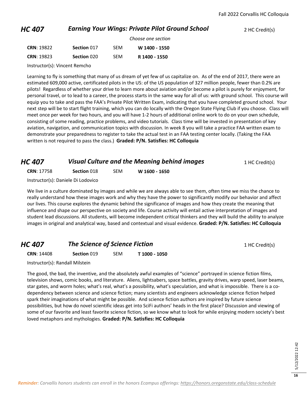#### *HC 407* **Earning Your Wings: Private Pilot Ground School** 2 HC Credit(s)

|                   |             |            | Choose one section |
|-------------------|-------------|------------|--------------------|
| <b>CRN: 19822</b> | Section 017 | <b>SFM</b> | W 1400 - 1550      |
| <b>CRN: 19823</b> | Section 020 | <b>SFM</b> | R 1400 - 1550      |

Instructor(s): Vincent Remcho

Learning to fly is something that many of us dream of yet few of us capitalize on. As of the end of 2017, there were an estimated 609,000 active, certificated pilots in the US: of the US population of 327 million people, fewer than 0.2% are pilots! Regardless of whether your drive to learn more about aviation and/or become a pilot is purely for enjoyment, for personal travel, or to lead to a career, the process starts in the same way for all of us: with ground school. This course will equip you to take and pass the FAA's Private Pilot Written Exam, indicating that you have completed ground school. Your next step will be to start flight training, which you can do locally with the Oregon State Flying Club if you choose. Class will meet once per week for two hours, and you will have 1-2 hours of additional online work to do on your own schedule, consisting of some reading, practice problems, and video tutorials. Class time will be invested in presentation of key aviation, navigation, and communication topics with discussion. In week 8 you will take a practice FAA written exam to demonstrate your preparedness to register to take the actual test in an FAA testing center locally. (Taking the FAA written is not required to pass the class.) **Graded: P/N. Satisfies: HC Colloquia**

#### *HC 407* **Visual Culture and the Meaning behind images** 1 HC Credit(s)

**CRN**: 17758 **Section** 018 SEM **W 1600 - 1650**

Instructor(s): Daniele Di Lodovico

We live in a culture dominated by images and while we are always able to see them, often time we miss the chance to really understand how these images work and why they have the power to significantly modify our behavior and affect our lives. This course explores the dynamic behind the significance of images and how they create the meaning that influence and shape our perspective on society and life. Course activity will entail active interpretation of images and student lead discussions. All students, will become independent critical thinkers and they will build the ability to analyze images in original and analytical way, based and contextual and visual evidence. **Graded: P/N. Satisfies: HC Colloquia**

#### *HC 407* **The Science of Science Fiction 1 HC Credit(s) 1 HC Credit(s)**

**CRN**: 14408 **Section** 019 SEM **T 1000 - 1050**

Instructor(s): Randall Milstein

The good, the bad, the inventive, and the absolutely awful examples of "science" portrayed in science fiction films, television shows, comic books, and literature. Aliens, lightsabers, space battles, gravity drives, warp speed, laser beams, star gates, and worm holes; what's real, what's a possibility, what's speculation, and what is impossible. There is a codependency between science and science fiction; many scientists and engineers acknowledge science fiction helped spark their imaginations of what might be possible. And science fiction authors are inspired by future science possibilities, but how do novel scientific ideas get into SciFi authors' heads in the first place? Discussion and viewing of some of our favorite and least favorite science fiction, so we know what to look for while enjoying modern society's best loved metaphors and mythologies. **Graded: P/N. Satisfies: HC Colloquia**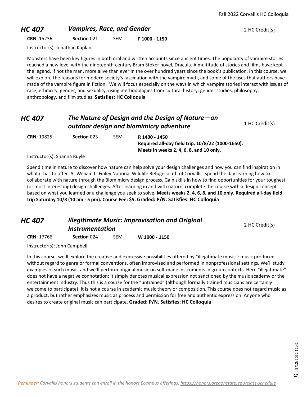#### **HC 407 Vampires, Race, and Gender 1988 <b>2** AC Credit(s)

**CRN**: 15236 **Section** 021 SEM **F 1000 - 1150**

Instructor(s): Jonathan Kaplan

Monsters have been key figures in both oral and written accounts since ancient times. The popularity of vampire stories reached a new level with the nineteenth-century Bram Stoker novel, Dracula. A multitude of stories and films have kept the legend, if not the man, more alive than ever in the over hundred years since the book's publication. In this course, we will explore the reasons for modern society's fascination with the vampire myth, and some of the uses that authors have made of the vampire figure in fiction. We will focus especially on the ways in which vampire stories interact with issues of race, ethnicity, gender, and sexuality, using methodologies from cultural history, gender studies, philosophy, anthropology, and film studies. **Satisfies: HC Colloquia**

#### *HC 407 The Nature of Design and the Design of Nature—an*  **outdoor design and biomimicry adventure** 1 HC Credit(s) **CRN**: 19825 **Section** 023 SEM **R 1400 - 1450 Required all-day field trip, 10/8/22 (1000-1650).**

Instructor(s): Shanna Ruyle

Spend time in nature to discover how nature can help solve your design challenges and how you can find inspiration in what it has to offer. At William L. Finley National Wildlife Refuge south of Corvallis, spend the day learning how to collaborate with nature through the Biomimicry design process. Gain skills in how to find opportunities for your toughest (or most interesting) design challenges. After learning in and with nature, complete the course with a design concept based on what you learned or a challenge you seek to solve. **Meets weeks 2, 4, 6, 8, and 10 only. Required all-day field trip Saturday 10/8 (10 am - 5 pm). Course Fee: \$5. Graded: P/N. Satisfies: HC Colloquia**

**Meets in weeks 2, 4, 6, 8, and 10 only.** 

| HC 407 | <b>Illegitimate Music: Improvisation and Original</b> |                |
|--------|-------------------------------------------------------|----------------|
|        | <i><b>Instrumentation</b></i>                         | 2 HC Credit(s) |
|        | .                                                     |                |

**CRN**: 17766 **Section** 024 SEM **W 1000 - 1150**

Instructor(s): John Campbell

In this course, we'll explore the creative and expressive possibilities offered by "illegitimate music": music produced without regard to genre or formal conventions, often improvised and performed in nonprofessional settings. We'll study examples of such music, and we'll perform original music on self-made instruments in group contexts. Here "illegitimate" does not have a negative connotation; it simply denotes musical expression not sanctioned by the music academy or the entertainment industry. Thus this is a course for the "untrained" (although formally trained musicians are certainly welcome to participate): it is not a course in academic music theory or composition. This course does not regard music as a product, but rather emphasizes music as process and permission for free and authentic expression. Anyone who desires to create original music can participate. **Graded: P/N. Satisfies: HC Colloquia**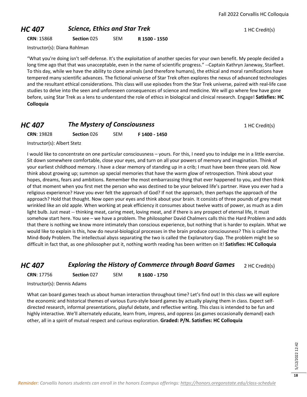#### **HC 407 Science, Ethics and Star Trek** 1 HC Credit(s)

**CRN**: 15868 **Section** 025 SEM **R 1500 - 1550**

Instructor(s): Diana Rohlman

"What you're doing isn't self-defense. It's the exploitation of another species for your own benefit. My people decided a long time ago that that was unacceptable, even in the name of scientific progress." --Captain Kathryn Janeway, Starfleet. To this day, while we have the ability to clone animals (and therefore humans), the ethical and moral ramifications have tempered many scientific advances. The fictional universe of Star Trek often explores the nexus of advanced technologies and the resultant ethical considerations. This class will use episodes from the Star Trek universe, paired with real-life case studies to delve into the seen and unforeseen consequences of science and medicine. We will go where few have gone before, using Star Trek as a lens to understand the role of ethics in biological and clinical research. Engage! **Satisfies: HC Colloquia**

#### *HC 407* **The Mystery of Consciousness 1 HC Credit(s) 1 HC Credit(s)**

| <b>CRN: 19828</b> | Section 026 | <b>SEM</b> | F 1400 - 1450 |
|-------------------|-------------|------------|---------------|
|                   |             |            |               |

Instructor(s): Albert Stetz

I would like to concentrate on one particular consciousness – yours. For this, I need you to indulge me in a little exercise. Sit down somewhere comfortable, close your eyes, and turn on all your powers of memory and imagination. Think of your earliest childhood memory. I have a clear memory of standing up in a crib; I must have been three years old. Now think about growing up; summon up special memories that have the warm glow of retrospection. Think about your hopes, dreams, fears and ambitions. Remember the most embarrassing thing that ever happened to you, and then think of that moment when you first met the person who was destined to be your beloved life's partner. Have you ever had a religious experience? Have you ever felt the approach of God? If not the approach, then perhaps the approach of the approach? Hold that thought. Now open your eyes and think about your brain. It consists of three pounds of grey meat wrinkled like an old apple. When working at peak efficiency it consumes about twelve watts of power, as much as a dim light bulb. Just meat -- thinking meat, caring meet, loving meat, and if there is any prospect of eternal life, it must somehow start here. You see – we have a problem. The philosopher David Chalmers calls this the Hard Problem and adds that there is nothing we know more intimately than conscious experience, but nothing that is harder to explain. What we would like to explain is this, how do neural-biological processes in the brain produce consciousness? This is called the Mind-Body Problem. The intellectual abyss separating the two is called the Explanatory Gap. The problem might be so difficult in fact that, as one philosopher put it, nothing worth reading has been written on it! **Satisfies: HC Colloquia**

#### *HC 407* **Exploring the History of Commerce through Board Games** 2 HC Credit(s)

**CRN**: 17756 **Section** 027 SEM **R 1600 - 1750**

Instructor(s): Dennis Adams

What can board games teach us about human interaction throughout time? Let's find out! In this class we will explore the economic and historical themes of various Euro-style board games by actually playing them in class. Expect selfdirected research, informal presentations, playful debate, and reflective writing. This class is intended to be fun and highly interactive. We'll alternately educate, learn from, impress, and oppress (as games occasionally demand) each other, all in a spirit of mutual respect and curious exploration. **Graded: P/N. Satisfies: HC Colloquia**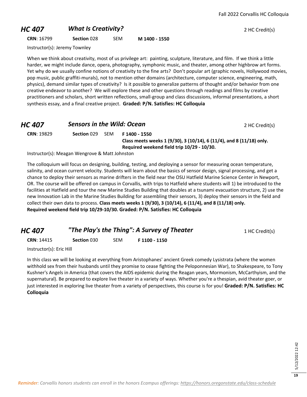#### **HC 407** *What Is Creativity?* 2 HC Credit(s)

**CRN**: 16799 **Section** 028 SEM **M 1400 - 1550**

Instructor(s): Jeremy Townley

When we think about creativity, most of us privilege art: painting, sculpture, literature, and film. If we think a little harder, we might include dance, opera, photography, symphonic music, and theater, among other highbrow art forms. Yet why do we usually confine notions of creativity to the fine arts? Don't popular art (graphic novels, Hollywood movies, pop music, public graffiti-murals), not to mention other domains (architecture, computer science, engineering, math, physics), demand similar types of creativity? Is it possible to generalize patterns of thought and/or behavior from one creative endeavor to another? We will explore these and other questions through readings and films by creative practitioners and scholars, short written reflections, small-group and class discussions, informal presentations, a short synthesis essay, and a final creative project. **Graded: P/N. Satisfies: HC Colloquia**

|             |      |                                                             | 2 HC Credit(s)                                                                                            |
|-------------|------|-------------------------------------------------------------|-----------------------------------------------------------------------------------------------------------|
| Section 029 | -SEM | F 1400 - 1550<br>Required weekend field trip 10/29 - 10/30. |                                                                                                           |
|             |      |                                                             | <b>Sensors in the Wild: Ocean</b><br>Class meets weeks 1 (9/30), 3 (10/14), 6 (11/4), and 8 (11/18) only. |

Instructor(s): Meagan Wengrove & Matt Johnston

The colloquium will focus on designing, building, testing, and deploying a sensor for measuring ocean temperature, salinity, and ocean current velocity. Students will learn about the basics of sensor design, signal processing, and get a chance to deploy their sensors as marine drifters in the field near the OSU Hatfield Marine Science Center in Newport, OR. The course will be offered on campus in Corvallis, with trips to Hatfield where students will 1) be introduced to the facilities at Hatfield and tour the new Marine Studies Building that doubles at a tsunami evacuation structure, 2) use the new Innovation Lab in the Marine Studies Building for assembling their sensors, 3) deploy their sensors in the field and collect their own data to process. **Class meets weeks 1 (9/30), 3 (10/14), 6 (11/4), and 8 (11/18) only. Required weekend field trip 10/29-10/30. Graded: P/N. Satisfies: HC Colloquia**

| HC 407            |                    |     | "The Play's the Thing": A Survey of Theater | 1 HC Credit(s) |
|-------------------|--------------------|-----|---------------------------------------------|----------------|
| <b>CRN: 14415</b> | <b>Section 030</b> | SEM | F 1100 - 1150                               |                |

Instructor(s): Eric Hill

In this class we will be looking at everything from Aristophanes' ancient Greek comedy Lysistrata (where the women withhold sex from their husbands until they promise to cease fighting the Peloponnesian War), to Shakespeare, to Tony Kushner's Angels in America (that covers the AIDS epidemic during the Reagan years, Mormonism, McCarthyism, and the supernatural). Be prepared to explore live theater in a variety of ways. Whether you're a thespian, avid theater goer, or just interested in exploring live theater from a variety of perspectives, this course is for you! **Graded: P/N. Satisfies: HC Colloquia**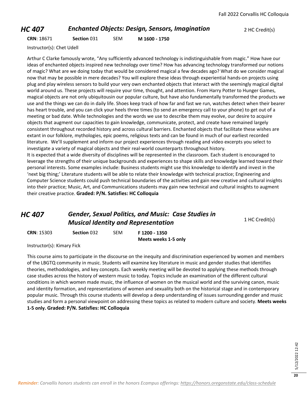#### *HC 407* **Enchanted Objects: Design, Sensors, Imagination** 2 HC Credit(s)

**CRN**: 18671 **Section** 031 SEM **M 1600 - 1750**

Instructor(s): Chet Udell

Arthur C Clarke famously wrote, "Any sufficiently advanced technology is indistinguishable from magic." How have our ideas of enchanted objects inspired new technology over time? How has advancing technology transformed our notions of magic? What are we doing today that would be considered magical a few decades ago? What do we consider magical now that may be possible in mere decades? You will explore these ideas through experiential hands-on projects using plug and play wireless sensors to build your very own enchanted objects that interact with the seemingly magical digital world around us. These projects will require your time, thought, and attention. From Harry Potter to Hunger Games, magical objects are not only ubiquitousin our popular culture, but have also fundamentally transformed the products we use and the things we can do in daily life. Shoes keep track of how far and fast we run, watches detect when their bearer has heart trouble, and you can click your heels three times (to send an emergency call to your phone) to get out of a meeting or bad date. While technologies and the words we use to describe them may evolve, our desire to acquire objects that augment our capacities to gain knowledge, communicate, protect, and create have remained largely consistent throughout recorded history and across cultural barriers. Enchanted objects that facilitate these wishes are extant in our folklore, mythologies, epic poems, religious texts and can be found in much of our earliest recorded literature. We'll supplement and inform our project experiences through reading and video excerpts you select to investigate a variety of magical objects and their real-world counterparts throughout history. It is expected that a wide diversity of disciplines will be represented in the classroom. Each student is encouraged to leverage the strengths of their unique backgrounds and experiences to shape skills and knowledge learned toward their personal interests. Some examples include: Business students might use this knowledge to identify and invest in the 'next big thing;' Literature students will be able to relate their knowledge with technical practice; Engineering and Computer Science students could push technical boundaries of the activities and gain new creative and cultural insights into their practice; Music, Art, and Communications students may gain new technical and cultural insights to augment

their creative practice. **Graded: P/N. Satisfies: HC Colloquia**

#### *HC 407 Gender, Sexual Politics, and Music: Case Studies in Musical Identity and Representation* 1 HC Credit(s)

**CRN**: 15303 **Section** 032 SEM **F 1200 - 1350**

**Meets weeks 1-5 only**

Instructor(s): Kimary Fick

This course aims to participate in the discourse on the inequity and discrimination experienced by women and members of the LBGTQ community in music. Students will examine key literature in music and gender studies that identifies theories, methodologies, and key concepts. Each weekly meeting will be devoted to applying these methods through case studies across the history of western music to today. Topics include an examination of the different cultural conditions in which women made music, the influence of women on the musical world and the surviving canon, music and identity formation, and representations of women and sexuality both on the historical stage and in contemporary popular music. Through this course students will develop a deep understanding of issues surrounding gender and music studies and form a personal viewpoint on addressing these topics as related to modern culture and society. **Meets weeks 1-5 only. Graded: P/N. Satisfies: HC Colloquia**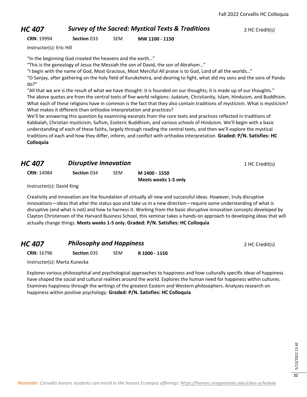#### *HC 407* **Survey of the Sacred: Mystical Texts & Traditions** 2 HC Credit(s)

**CRN**: 19994 **Section** 033 SEM **MW 1100 - 1150**

Instructor(s): Eric Hill

"In the beginning God created the heavens and the earth…"

"This is the genealogy of Jesus the Messiah the son of David, the son of Abraham…"

"I begin with the name of God, Most Gracious, Most Merciful All praise is to God, Lord of all the worlds…"

"O Sanjay, after gathering on the holy field of Kurukshetra, and desiring to fight, what did my sons and the sons of Pandu do?"

"All that we are is the result of what we have thought: it is founded on our thoughts; it is made up of our thoughts." The above quotes are from the central texts of five world religions: Judaism, Christianity, Islam, Hinduism, and Buddhism. What each of these religions have in common is the fact that they also contain traditions of mysticism. What is mysticism? What makes it different than orthodox interpretation and practices?

We'll be answering this question by examining excerpts from the core texts and practices reflected in traditions of Kabbalah, Christian mysticism, Sufism, Esoteric Buddhism, and various schools of Hinduism. We'll begin with a basic understanding of each of these faiths, largely through reading the central texts, and then we'll explore the mystical traditions of each and how they differ, inform, and conflict with orthodox interpretation. **Graded: P/N. Satisfies: HC Colloquia**

#### *HC 407* **Disruptive Innovation 1 HC Credit(s) 1 HC Credit(s)**

**CRN**: 14984 **Section** 034 SEM **M 1400 - 1550**

**Meets weeks 1-5 only**

Instructor(s): David King

Creativity and innovation are the foundation of virtually all new and successful ideas. However, truly disruptive innovations—ideas that alter the status quo and take us in a new direction—require some understanding of what is disruptive (and what is not) and how to harness it. Working from the basic disruptive innovation concepts developed by Clayton Christensen of the Harvard Business School, this seminar takes a hands-on approach to developing ideas that will actually change things. **Meets weeks 1-5 only. Graded: P/N. Satisfies: HC Colloquia**

## **HC 407 Philosophy and Happiness 1998 <b>Philosophy and Happiness** 2 HC Credit(s)

**CRN**: 16796 **Section** 035 SEM **R 1000 - 1150**

Instructor(s): Marta Kunecka

Explores various philosophical and psychological approaches to happiness and how culturally specific ideas of happiness have shaped the social and cultural realities around the world. Explores the human need for happiness within cultures. Examines happiness through the writings of the greatest Eastern and Western philosophers. Analyzes research on happiness within positive psychology. **Graded: P/N. Satisfies: HC Colloquia**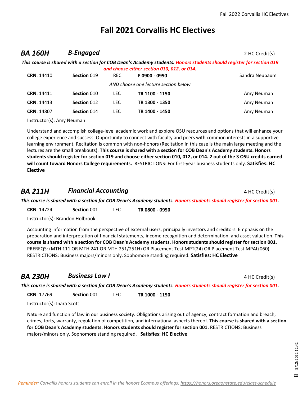#### **Fall 2021 Corvallis HC Electives**

#### **BA 160H B-Engaged** 2 HC Credit(s)

|                   |             |      | This course is shared with a section for COB Dean's Academy students. Honors students should register for section 019 |                |
|-------------------|-------------|------|-----------------------------------------------------------------------------------------------------------------------|----------------|
|                   |             |      | and choose either section 010, 012, or 014.                                                                           |                |
| <b>CRN: 14410</b> | Section 019 | REC. | F0900 - 0950                                                                                                          | Sandra Neubaum |
|                   |             |      | AND choose one lecture section below                                                                                  |                |
| <b>CRN: 14411</b> | Section 010 | LEC. | TR 1100 - 1150                                                                                                        | Amy Neuman     |
| <b>CRN: 14413</b> | Section 012 | LEC. | TR 1300 - 1350                                                                                                        | Amy Neuman     |
| <b>CRN: 14807</b> | Section 014 | LEC. | TR 1400 - 1450                                                                                                        | Amy Neuman     |
|                   |             |      |                                                                                                                       |                |

Instructor(s): Amy Neuman

Understand and accomplish college-level academic work and explore OSU resources and options that will enhance your college experience and success. Opportunity to connect with faculty and peers with common interests in a supportive learning environment. Recitation is common with non-honors (Recitation in this case is the main large meeting and the lectures are the small breakouts). **This course is shared with a section for COB Dean's Academy students. Honors students should register for section 019 and choose either section 010, 012, or 014. 2 out of the 3 OSU credits earned will count toward Honors College requirements.** RESTRICTIONS: For first-year business students only. **Satisfies: HC Elective**

#### **BA 211H Financial Accounting Example 2011** *Financial Accounting* 4 HC Credit(s)

*This course is shared with a section for COB Dean's Academy students. Honors students should register for section 001.*

**CRN**: 14724 **Section** 001 LEC **TR 0800 - 0950**

Instructor(s): Brandon Holbrook

Accounting information from the perspective of external users, principally investors and creditors. Emphasis on the preparation and interpretation of financial statements, income recognition and determination, and asset valuation. **This course is shared with a section for COB Dean's Academy students. Honors students should register for section 001.** PREREQS: (MTH 111 OR MTH 241 OR MTH 251/251H) OR Placement Test MPT(24) OR Placement Test MPAL(060). RESTRICTIONS: Business majors/minors only. Sophomore standing required. **Satisfies: HC Elective**

#### **BA 230H Business Law I** 4 HC Credit(s)

*This course is shared with a section for COB Dean's Academy students. Honors students should register for section 001.*

**CRN**: 17769 **Section** 001 LEC **TR 1000 - 1150**

Instructor(s): Inara Scott

Nature and function of law in our business society. Obligations arising out of agency, contract formation and breach, crimes, torts, warranty, regulation of competition, and international aspects thereof. **This course is shared with a section for COB Dean's Academy students. Honors students should register for section 001.** RESTRICTIONS: Business majors/minors only. Sophomore standing required. **Satisfies: HC Elective**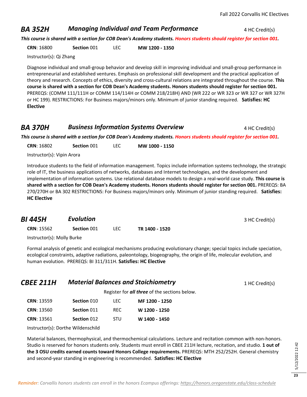#### **BA 352H** *Managing Individual and Team Performance* 4 HC Credit(s)

*This course is shared with a section for COB Dean's Academy students. Honors students should register for section 001.*

**CRN**: 16800 **Section** 001 LEC **MW 1200 - 1350**

Instructor(s): Qi Zhang

Diagnose individual and small-group behavior and develop skill in improving individual and small-group performance in entrepreneurial and established ventures. Emphasis on professional skill development and the practical application of theory and research. Concepts of ethics, diversity and cross-cultural relations are integrated throughout the course. **This course is shared with a section for COB Dean's Academy students. Honors students should register for section 001.** PREREQS: (COMM 111/111H or COMM 114/114H or COMM 218/218H) AND (WR 222 or WR 323 or WR 327 or WR 327H or HC 199). RESTRICTIONS: For Business majors/minors only. Minimum of junior standing required. **Satisfies: HC Elective**

#### **BA 370H Business Information Systems Overview** 4 HC Credit(s)

*This course is shared with a section for COB Dean's Academy students. Honors students should register for section 001.*

**CRN**: 16802 **Section** 001 LEC **MW 1000 - 1150**

Instructor(s): Vipin Arora

Introduce students to the field of information management. Topics include information systems technology, the strategic role of IT, the business applications of networks, databases and Internet technologies, and the development and implementation of information systems. Use relational database models to design a real-world case study. **This course is shared with a section for COB Dean's Academy students. Honors students should register for section 001.** PREREQS: BA 270/270H or BA 302 RESTRICTIONS: For Business majors/minors only. Minimum of junior standing required. **Satisfies: HC Elective**

| BI 445H           | <b>Evolution</b> |      |                | 3 HC Credit(s) |
|-------------------|------------------|------|----------------|----------------|
| <b>CRN: 15562</b> | Section 001      | LEC. | TR 1400 - 1520 |                |

Instructor(s): Molly Burke

Formal analysis of genetic and ecological mechanisms producing evolutionary change; special topics include speciation, ecological constraints, adaptive radiations, paleontology, biogeography, the origin of life, molecular evolution, and human evolution. PREREQS: BI 311/311H. **Satisfies: HC Elective**

| <b>CBEE 211H</b> | <b>Material Balances and Stoichiometry</b>           | 1 HC Credit(s) |
|------------------|------------------------------------------------------|----------------|
|                  | Register for <b>all three</b> of the sections below. |                |

**CRN**: 13559 **Section** 010 LEC **MF 1200 - 1250 CRN**: 13560 **Section** 011 REC **W 1200 - 1250 CRN**: 13561 **Section** 012 STU **W 1400 - 1450**

Instructor(s): Dorthe Wildenschild

Material balances, thermophysical, and thermochemical calculations. Lecture and recitation common with non-honors. Studio is reserved for honors students only. Students must enroll in CBEE 211H lecture, recitation, and studio. **1 out of the 3 OSU credits earned counts toward Honors College requirements.** PREREQS: MTH 252/252H. General chemistry and second-year standing in engineering is recommended. **Satisfies: HC Elective**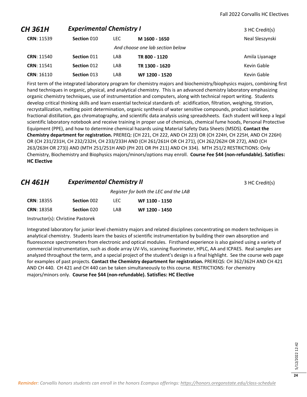| CH 361H           | <b>Experimental Chemistry I</b> |      |                                  | 3 HC Credit(s)  |
|-------------------|---------------------------------|------|----------------------------------|-----------------|
| <b>CRN: 11539</b> | Section 010                     | LEC. | M 1600 - 1650                    | Neal Sleszynski |
|                   |                                 |      | And choose one lab section below |                 |
| <b>CRN: 11540</b> | Section 011                     | LAB  | TR 800 - 1120                    | Amila Liyanage  |
| <b>CRN: 11541</b> | Section 012                     | LAB  | TR 1300 - 1620                   | Kevin Gable     |
| <b>CRN: 16110</b> | Section 013                     | LAB  | WF 1200 - 1520                   | Kevin Gable     |

First term of the integrated laboratory program for chemistry majors and biochemistry/biophysics majors, combining first hand techniques in organic, physical, and analytical chemistry. This is an advanced chemistry laboratory emphasizing organic chemistry techniques, use of instrumentation and computers, along with technical report writing. Students develop critical thinking skills and learn essential technical standards of: acidification, filtration, weighing, titration, recrystallization, melting point determination, organic synthesis of water sensitive compounds, product isolation, fractional distillation, gas chromatography, and scientific data analysis using spreadsheets. Each student will keep a legal scientific laboratory notebook and receive training in proper use of chemicals, chemical fume hoods, Personal Protective Equipment (PPE), and how to determine chemical hazards using Material Safety Data Sheets (MSDS). **Contact the Chemistry department for registration.** PREREQ: (CH 221, CH 222, AND CH 223) OR (CH 224H, CH 225H, AND CH 226H) OR (CH 231/231H, CH 232/232H, CH 233/233H AND (CH 261/261H OR CH 271), (CH 262/262H OR 272), AND (CH 263/263H OR 273)) AND (MTH 251/251H AND (PH 201 OR PH 211) AND CH 334). MTH 251/2 RESTRICTIONS: Only Chemistry, Biochemistry and Biophysics majors/minors/options may enroll. **Course Fee \$44 (non-refundable). Satisfies: HC Elective**

#### **CH 461H Experimental Chemistry II CH 461H 3 HC Credit(s)**

*Register for both the LEC and the LAB* **CRN**: 18355 **Section** 002 LEC **WF 1100 - 1150 CRN**: 18358 **Section** 020 LAB **WF 1200 - 1450**

Instructor(s): Christine Pastorek

Integrated laboratory for junior level chemistry majors and related disciplines concentrating on modern techniques in analytical chemistry. Students learn the basics of scientific instrumentation by building their own absorption and fluorescence spectrometers from electronic and optical modules. Firsthand experience is also gained using a variety of commercial instrumentation, such as diode array UV-Vis, scanning fluorimeter, HPLC, AA and ICPAES. Real samples are analyzed throughout the term, and a special project of the student's design is a final highlight. See the course web page for examples of past projects. **Contact the Chemistry department for registration.** PREREQS: CH 362/362H AND CH 421 AND CH 440. CH 421 and CH 440 can be taken simultaneously to this course. RESTRICTIONS: For chemistry majors/minors only. **Course Fee \$44 (non-refundable). Satisfies: HC Elective**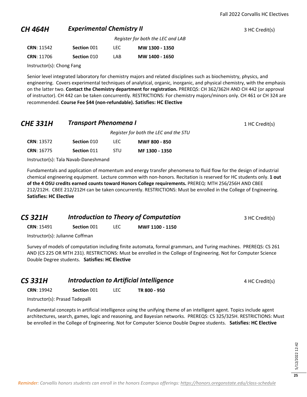#### **CH 464H Experimental Chemistry II CH 464H Experimental Chemistry II 1 Experimental Chemistry II**

*Register for both the LEC and LAB* **CRN**: 11542 **Section** 001 LEC **MW 1300 - 1350**

|     | LINN. IIJTL       | <b>JELLIUII UUL</b> | ᄔᄔ | <u> 1910 - 1910 - 1920 </u> |
|-----|-------------------|---------------------|----|-----------------------------|
| LAB | <b>CRN: 11706</b> | Section 010         |    | MW 1400 - 1650              |

Instructor(s): Chong Fang

Senior level integrated laboratory for chemistry majors and related disciplines such as biochemistry, physics, and engineering. Covers experimental techniques of analytical, organic, inorganic, and physical chemistry, with the emphasis on the latter two. **Contact the Chemistry department for registration.** PREREQS: CH 362/362H AND CH 442 (or approval of instructor). CH 442 can be taken concurrently. RESTRICTIONS: For chemistry majors/minors only. CH 461 or CH 324 are recommended. **Course Fee \$44 (non-refundable). Satisfies: HC Elective**

#### **CHE 331H •• Transport Phenomena I** 1 **HC Credit(s)** 1 HC Credit(s)

|                   |             |            | Register for both the LEC and the STU |
|-------------------|-------------|------------|---------------------------------------|
| <b>CRN: 13572</b> | Section 010 | TEC.       | <b>MWF 800 - 850</b>                  |
| <b>CRN: 16775</b> | Section 011 | <b>STU</b> | MF 1300 - 1350                        |

Instructor(s): Tala Navab-Daneshmand

Fundamentals and application of momentum and energy transfer phenomena to fluid flow for the design of industrial chemical engineering equipment. Lecture common with non-honors. Recitation is reserved for HC students only. **1 out of the 4 OSU credits earned counts toward Honors College requirements.** PREREQ: MTH 256/256H AND CBEE 212/212H. CBEE 212/212H can be taken concurrently. RESTRICTIONS: Must be enrolled in the College of Engineering. **Satisfies: HC Elective**

**CS 321H** *Introduction to Theory of Computation* 3 HC Credit(s)

**CRN**: 15491 **Section** 001 LEC **MWF 1100 - 1150**

Instructor(s): Julianne Coffman

Survey of models of computation including finite automata, formal grammars, and Turing machines. PREREQS: CS 261 AND (CS 225 OR MTH 231). RESTRICTIONS: Must be enrolled in the College of Engineering. Not for Computer Science Double Degree students. **Satisfies: HC Elective**

| <b>CS 331H</b>    |             | Introduction to Artificial Intelligence |              | 4 HC Credit(s) |
|-------------------|-------------|-----------------------------------------|--------------|----------------|
| <b>CRN: 19942</b> | Section 001 |                                         | TR 800 - 950 |                |

Instructor(s): Prasad Tadepalli

Fundamental concepts in artificial intelligence using the unifying theme of an intelligent agent. Topics include agent architectures, search, games, logic and reasoning, and Bayesian networks. PREREQS: CS 325/325H. RESTRICTIONS: Must be enrolled in the College of Engineering. Not for Computer Science Double Degree students. **Satisfies: HC Elective**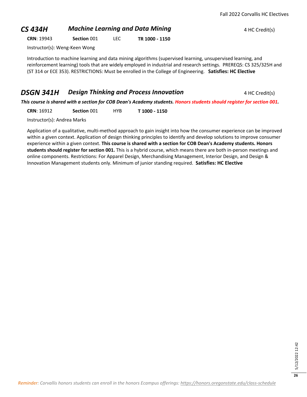#### **CS 434H Machine Learning and Data Mining ALC CONSTRANGED ALC Credit(s)**

**CRN**: 19943 **Section** 001 LEC **TR 1000 - 1150**

Instructor(s): Weng-Keen Wong

Introduction to machine learning and data mining algorithms (supervised learning, unsupervised learning, and reinforcement learning) tools that are widely employed in industrial and research settings. PREREQS: CS 325/325H and (ST 314 or ECE 353). RESTRICTIONS: Must be enrolled in the College of Engineering. **Satisfies: HC Elective**

#### **DSGN 341H Design Thinking and Process Innovation** 4 HC Credit(s)

*This course is shared with a section for COB Dean's Academy students. Honors students should register for section 001.*

**CRN**: 16912 **Section** 001 HYB **T 1000 - 1150**

Instructor(s): Andrea Marks

Application of a qualitative, multi-method approach to gain insight into how the consumer experience can be improved within a given context. Application of design thinking principles to identify and develop solutions to improve consumer experience within a given context. **This course is shared with a section for COB Dean's Academy students. Honors students should register for section 001.** This is a hybrid course, which means there are both in-person meetings and online components. Restrictions: For Apparel Design, Merchandising Management, Interior Design, and Design & Innovation Management students only. Minimum of junior standing required. **Satisfies: HC Elective**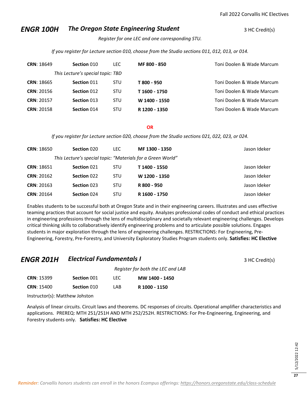#### *ENGR 100H* The Oregon State Engineering Student **3 HC Credit(s)**

*Register for one LEC and one corresponding STU.* 

*If you register for Lecture section 010, choose from the Studio sections 011, 012, 013, or 014.* 

| <b>CRN: 18649</b> | Section 010                       | <b>LEC</b> | MF 800 - 850  | Toni Doolen & Wade Marcum |
|-------------------|-----------------------------------|------------|---------------|---------------------------|
|                   | This Lecture's special topic: TBD |            |               |                           |
| <b>CRN: 18665</b> | Section 011                       | <b>STU</b> | T 800 - 950   | Toni Doolen & Wade Marcum |
| <b>CRN: 20156</b> | Section 012                       | <b>STU</b> | T 1600 - 1750 | Toni Doolen & Wade Marcum |
| <b>CRN: 20157</b> | Section 013                       | <b>STU</b> | W 1400 - 1550 | Toni Doolen & Wade Marcum |
| <b>CRN: 20158</b> | Section 014                       | <b>STU</b> | R 1200 - 1350 | Toni Doolen & Wade Marcum |

**OR**

*If you register for Lecture section 020, choose from the Studio sections 021, 022, 023, or 024.* 

| <b>CRN: 18650</b> | Section 020                                                 | LEC.       | MF 1300 - 1350 | Jason Ideker |
|-------------------|-------------------------------------------------------------|------------|----------------|--------------|
|                   | This Lecture's special topic: "Materials for a Green World" |            |                |              |
| <b>CRN: 18651</b> | Section 021                                                 | <b>STU</b> | T 1400 - 1550  | Jason Ideker |
| <b>CRN: 20162</b> | Section 022                                                 | <b>STU</b> | W 1200 - 1350  | Jason Ideker |
| <b>CRN: 20163</b> | Section 023                                                 | <b>STU</b> | R 800 - 950    | Jason Ideker |
| <b>CRN: 20164</b> | Section 024                                                 | <b>STU</b> | R 1600 - 1750  | Jason Ideker |

Enables students to be successful both at Oregon State and in their engineering careers. Illustrates and uses effective teaming practices that account for social justice and equity. Analyzes professional codes of conduct and ethical practices in engineering professions through the lens of multidisciplinary and societally relevant engineering challenges. Develops critical thinking skills to collaboratively identify engineering problems and to articulate possible solutions. Engages students in major exploration through the lens of engineering challenges. RESTRICTIONS: For Engineering, Pre-Engineering, Forestry, Pre-Forestry, and University Exploratory Studies Program students only. **Satisfies: HC Elective**

#### *ENGR 201H* **Electrical Fundamentals I 3 HC Credit(s)** 3 HC Credit(s)

*Register for both the LEC and LAB* **CRN**: 15399 **Section** 001 LEC **MW 1400 - 1450 CRN**: 15400 **Section** 010 LAB **R 1000 - 1150**

Instructor(s): Matthew Johston

Analysis of linear circuits. Circuit laws and theorems. DC responses of circuits. Operational amplifier characteristics and applications. PREREQ: MTH 251/251H AND MTH 252/252H. RESTRICTIONS: For Pre-Engineering, Engineering, and Forestry students only. **Satisfies: HC Elective**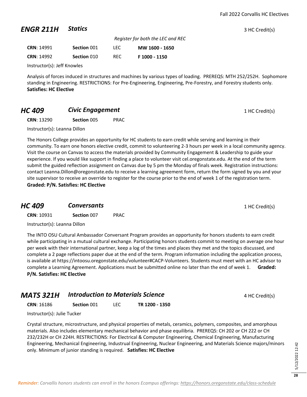#### **ENGR 211H Statics 3** HC Credit(s)

|                             |             |      | Register for both the LEC and REC |
|-----------------------------|-------------|------|-----------------------------------|
| <b>CRN: 14991</b>           | Section 001 | LEC. | MW 1600 - 1650                    |
| <b>CRN: 14992</b>           | Section 010 | REC. | F 1000 - 1150                     |
| Instructor(s): Jeff Knowles |             |      |                                   |

Analysis of forces induced in structures and machines by various types of loading. PREREQS: MTH 252/252H. Sophomore standing in Engineering. RESTRICTIONS: For Pre-Engineering, Engineering, Pre-Forestry, and Forestry students only. **Satisfies: HC Elective**

#### **HC 409 Civic Engagement Civic Engagement** 1 HC Credit(s)

**CRN**: 13290 **Section** 005 PRAC

Instructor(s): Leanna Dillon

The Honors College provides an opportunity for HC students to earn credit while serving and learning in their community. To earn one honors elective credit, commit to volunteering 2-3 hours per week in a local community agency. Visit the course on Canvas to access the materials provided by Community Engagement & Leadership to guide your experience. If you would like support in finding a place to volunteer visit cel.oregonstate.edu. At the end of the term submit the guided reflection assignment on Canvas due by 5 pm the Monday of finals week. Registration instructions: contact Leanna.Dillon@oregonstate.edu to receive a learning agreement form, return the form signed by you and your site supervisor to receive an override to register for the course prior to the end of week 1 of the registration term. **Graded: P/N. Satisfies: HC Elective**

| HC 409            | <b>Conversants</b> |             | 1 HC Credit(s) |
|-------------------|--------------------|-------------|----------------|
| <b>CRN: 10931</b> | Section 007        | <b>PRAC</b> |                |

Instructor(s): Leanna Dillon

The INTO OSU Cultural Ambassador Conversant Program provides an opportunity for honors students to earn credit while participating in a mutual cultural exchange. Participating honors students commit to meeting on average one hour per week with their international partner, keep a log of the times and places they met and the topics discussed, and complete a 2 page reflections paper due at the end of the term. Program information including the application process, is available at https://intoosu.oregonstate.edu/volunteer#CACP-Volunteers. Students must meet with an HC advisor to complete a Learning Agreement. Applications must be submitted online no later than the end of week 1. **Graded: P/N. Satisfies: HC Elective**

| MATS 321H | <b>Introduction to Materials Science</b> | 4 HC Credit(s) |
|-----------|------------------------------------------|----------------|
|           |                                          |                |

**CRN**: 16186 **Section** 001 LEC **TR 1200 - 1350**

Instructor(s): Julie Tucker

Crystal structure, microstructure, and physical properties of metals, ceramics, polymers, composites, and amorphous materials. Also includes elementary mechanical behavior and phase equilibria. PREREQS: CH 202 or CH 222 or CH 232/232H or CH 224H. RESTRICTIONS: For Electrical & Computer Engineering, Chemical Engineering, Manufacturing Engineering, Mechanical Engineering, Industrual Engineering, Nuclear Engineering, and Materials Science majors/minors only. Minimum of junior standing is required. **Satisfies: HC Elective**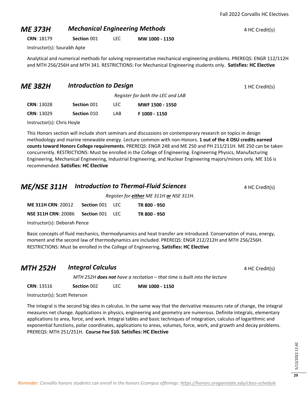Fall 2022 Corvallis HC Electives

#### **ME 373H Mechanical Engineering Methods** 4 HC Credit(s)

**CRN**: 18179 **Section** 001 LEC **MW 1000 - 1150**

Instructor(s): Sourabh Apte

Analytical and numerical methods for solving representative mechanical engineering problems. PREREQS: ENGR 112/112H and MTH 256/256H and MTH 341. RESTRICTIONS: For Mechanical Engineering students only. **Satisfies: HC Elective**

| <b>ME 382H</b>    | <b>Introduction to Design</b><br>Register for both the LEC and LAB |      |                 | 1 HC Credit(s) |
|-------------------|--------------------------------------------------------------------|------|-----------------|----------------|
|                   |                                                                    |      |                 |                |
| <b>CRN: 13028</b> | Section 001                                                        | LEC. | MWF 1500 - 1550 |                |
| <b>CRN: 13029</b> | Section 010                                                        | LAB  | F 1000 - 1150   |                |

Instructor(s): Chris Hoyle

This Honors section will include short seminars and discussions on contemporary research on topics in design methodology and marine renewable energy. Lecture common with non-Honors. **1 out of the 4 OSU credits earned counts toward Honors College requirements.** PREREQS: ENGR 248 and ME 250 and PH 211/211H. ME 250 can be taken concurrently. RESTRICTIONS: Must be enrolled in the College of Engineering. Engineering Physics, Manufacturing Engineering, Mechanical Engineering, Industrial Engineering, and Nuclear Engineering majors/minors only. ME 316 is recommended. **Satisfies: HC Elective**

#### **ME/NSE 311H** *Introduction to Thermal-Fluid Sciences* 4 HC Credit(s)

*Register for either ME 311H or NSE 311H.*

| <b>NSE 311H CRN: 20086</b> | <b>Section 001 LEC</b><br>TR 800 - 950 |  |
|----------------------------|----------------------------------------|--|

Instructor(s): Deborah Pence

Basic concepts of fluid mechanics, thermodynamics and heat transfer are introduced. Conservation of mass, energy, moment and the second law of thermodynamics are included. PREREQS: ENGR 212/212H and MTH 256/256H. RESTRICTIONS: Must be enrolled in the College of Engineering. **Satisfies: HC Elective**

| <b>MTH 252H</b> | <b>Integral Calculus</b>                                                  | 4 HC Credit(s) |
|-----------------|---------------------------------------------------------------------------|----------------|
|                 | MTH 252H does not have a recitation - that time is built into the lecture |                |

**CRN**: 13516 **Section** 002 LEC **MW 1000 - 1150**

Instructor(s): Scott Peterson

The integral is the second big idea in calculus. In the same way that the derivative measures rate of change, the integral measures net change. Applications in physics, engineering and geometry are numerous. Definite integrals, elementary applications to area, force, and work. Integral tables and basic techniques of integration, calculus of logarithmic and exponential functions, polar coordinates, applications to areas, volumes, force, work, and growth and decay problems. PREREQS: MTH 251/251H. **Course Fee \$10. Satisfies: HC Elective**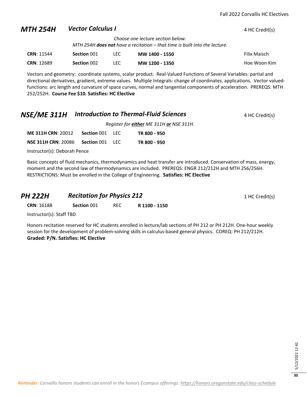#### **MTH 254H** *Vector Calculus I* 4 HC Credit(s) *Choose one lecture section below. MTH 254H does not have a recitation – that time is built into the lecture.*  **CRN**: 11544 **Section** 001 LEC **MW 1400 - 1550** Filix Maisch

**CRN**: 12689 **Section** 002 LEC **MW 1200 - 1350** Hoe Woon Kim

Vectors and geometry: coordinate systems, scalar product. Real-Valued Functions of Several Variables: partial and directional derivatives, gradient, extreme values. Multiple Integrals: change of coordinates, applications. Vector valuedfunctions: arc length and curvature of space curves, normal and tangential components of acceleration. PREREQS: MTH 252/252H. **Course Fee \$10. Satisfies: HC Elective**

#### **NSE/ME 311H** *Introduction to Thermal-Fluid Sciences* 4 HC Credit(s)

*Register for either ME 311H or NSE 311H.*

**ME 311H CRN**: 20012 **Section** 001 LEC **TR 800 - 950 NSE 311H CRN**: 20086 **Section** 001 LEC **TR 800 - 950**

Instructor(s): Deborah Pence

Basic concepts of fluid mechanics, thermodynamics and heat transfer are introduced. Conservation of mass, energy, moment and the second law of thermodynamics are included. PREREQS: ENGR 212/212H and MTH 256/256H. RESTRICTIONS: Must be enrolled in the College of Engineering. **Satisfies: HC Elective**

| PH 222H           | <b>Recitation for Physics 212</b> |            |               | 1 HC Credit(s) |
|-------------------|-----------------------------------|------------|---------------|----------------|
| <b>CRN: 16188</b> | Section 001                       | <b>REC</b> | R 1100 - 1150 |                |

Instructor(s): Staff TBD

Honors recitation reserved for HC students enrolled in lecture/lab sections of PH 212 or PH 212H. One-hour weekly session for the development of problem-solving skills in calculus-based general physics. COREQ: PH 212/212H. **Graded: P/N. Satisfies: HC Elective**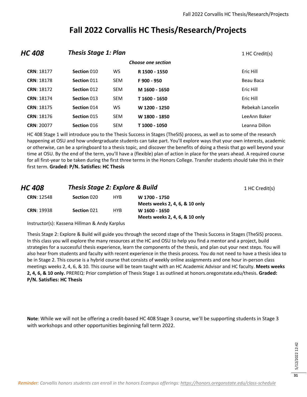#### **Fall 2022 Corvallis HC Thesis/Research/Projects**

| HC 408             |             | <b>Thesis Stage 1: Plan</b> |               |                  |  |
|--------------------|-------------|-----------------------------|---------------|------------------|--|
| Choose one section |             |                             |               |                  |  |
| CRN: 18177         | Section 010 | WS.                         | R 1500 - 1550 | Eric Hill        |  |
| <b>CRN: 18178</b>  | Section 011 | <b>SEM</b>                  | F900 - 950    | Beau Baca        |  |
| <b>CRN: 18172</b>  | Section 012 | <b>SEM</b>                  | M 1600 - 1650 | Eric Hill        |  |
| CRN: 18174         | Section 013 | <b>SEM</b>                  | T 1600 - 1650 | Eric Hill        |  |
| <b>CRN: 18175</b>  | Section 014 | WS                          | W 1200 - 1250 | Rebekah Lancelin |  |
| CRN: 18176         | Section 015 | <b>SEM</b>                  | W 1800 - 1850 | LeeAnn Baker     |  |
| <b>CRN: 20077</b>  | Section 016 | <b>SEM</b>                  | T 1000 - 1050 | Leanna Dillon    |  |

HC 408 Stage 1 will introduce you to the Thesis Success in Stages (TheSIS) process, as well as to some of the research happening at OSU and how undergraduate students can take part. You'll explore ways that your own interests, academic or otherwise, can be a springboard to a thesis topic, and discover the benefits of doing a thesis that go well beyond your time at OSU. By the end of the term, you'll have a (flexible) plan of action in place for the years ahead. A required course for all first-year to be taken during the first three terms in the Honors College. Transfer students should take this in their first term. **Graded: P/N. Satisfies: HC Thesis**

| HC 408            | <b>Thesis Stage 2: Explore &amp; Build</b> |            |                                | 1 HC Credit(s) |
|-------------------|--------------------------------------------|------------|--------------------------------|----------------|
| <b>CRN: 12548</b> | Section 020                                | <b>HYB</b> | W 1700 - 1750                  |                |
|                   |                                            |            | Meets weeks 2, 4, 6, & 10 only |                |
| <b>CRN: 19938</b> | Section 021                                | <b>HYB</b> | W 1600 - 1650                  |                |
|                   |                                            |            | Meets weeks 2, 4, 6, & 10 only |                |

Instructor(s): Kassena Hillman & Andy Karplus

Thesis Stage 2: Explore & Build will guide you through the second stage of the Thesis Success in Stages (TheSIS) process. In this class you will explore the many resources at the HC and OSU to help you find a mentor and a project, build strategies for a successful thesis experience, learn the components of the thesis, and plan out your next steps. You will also hear from students and faculty with recent experience in the thesis process. You do not need to have a thesis idea to be in Stage 2. This course is a hybrid course that consists of weekly online assignments and one hour in-person class meetings weeks 2, 4, 6, & 10. This course will be team taught with an HC Academic Advisor and HC faculty. **Meets weeks 2, 4, 6, & 10 only.** PREREQ: Prior completion of Thesis Stage 1 as outlined at honors.oregonstate.edu/thesis. **Graded: P/N. Satisfies: HC Thesis**

**Note**: While we will not be offering a credit-based HC 408 Stage 3 course, we'll be supporting students in Stage 3 with workshops and other opportunities beginning fall term 2022.